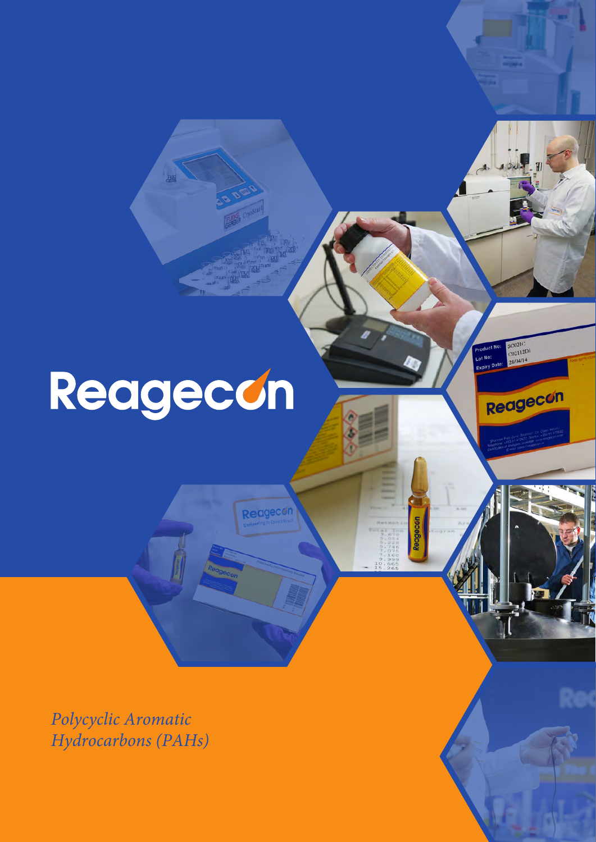# Reagecon

Reagecon

SC021C<br>C02112D1<br>28/04/14

Reagecon

*Polycyclic Aromatic Hydrocarbons (PAHs)*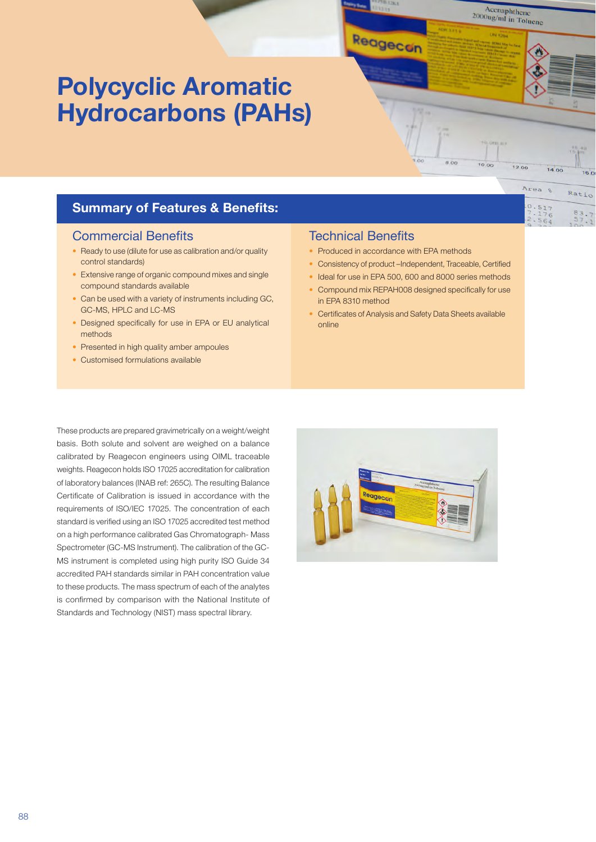# **Polycyclic Aromatic Hydrocarbons (PAHs)**

#### **Summary of Features & Benefits:**

#### Commercial Benefits

- Ready to use (dilute for use as calibration and/or quality control standards)
- Extensive range of organic compound mixes and single compound standards available
- Can be used with a variety of instruments including GC, GC-MS, HPLC and LC-MS
- Designed specifically for use in EPA or EU analytical methods
- •Presented in high quality amber ampoules
- Customised formulations available

#### Technical Benefits

• Produced in accordance with EPA methods

Reagecon

• Consistency of product –Independent, Traceable, Certified

8.00

 $10.00$ 

 $12.00$ 

Area &

 $0.517$ 

 $76$ 

Ratio

 $rac{83}{57}$ 

Acenaphthene <sup>Acchaphthene</sup><br><sup>2000ug/ml</sup> in Toluene

- Ideal for use in EPA 500, 600 and 8000 series methods
- Compound mix REPAH008 designed specifically for use in EPA 8310 method
- Certificates of Analysis and Safety Data Sheets available online

These products are prepared gravimetrically on a weight/weight basis. Both solute and solvent are weighed on a balance calibrated by Reagecon engineers using OIML traceable weights. Reagecon holds ISO 17025 accreditation for calibration of laboratory balances (INAB ref: 265C). The resulting Balance Certificate of Calibration is issued in accordance with the requirements of ISO/IEC 17025. The concentration of each standard is verified using an ISO 17025 accredited test method on a high performance calibrated Gas Chromatograph- Mass Spectrometer (GC-MS Instrument). The calibration of the GC-MS instrument is completed using high purity ISO Guide 34 accredited PAH standards similar in PAH concentration value to these products. The mass spectrum of each of the analytes is confirmed by comparison with the National Institute of Standards and Technology (NIST) mass spectral library.

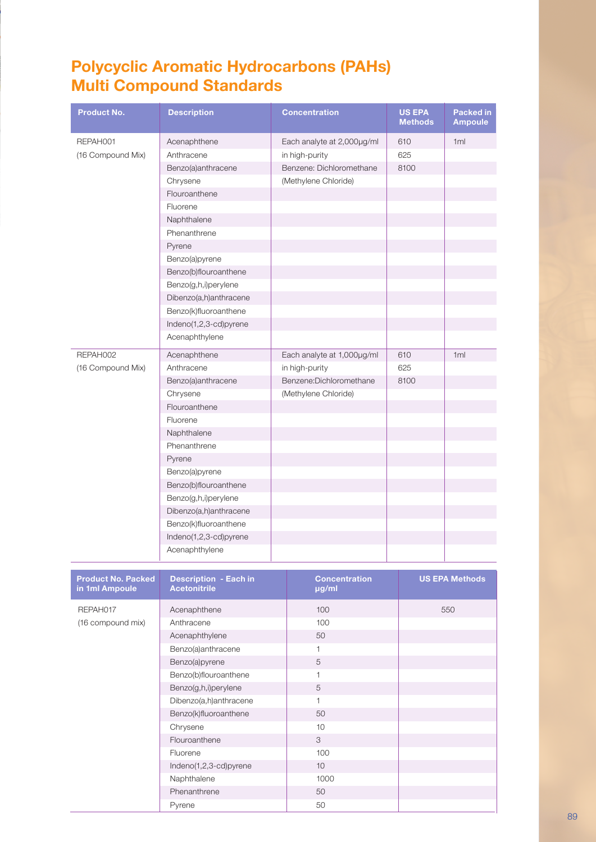## **Polycyclic Aromatic Hydrocarbons (PAHs) Multi Compound Standards**

| <b>Product No.</b>                          | <b>Description</b>                                  | <b>Concentration</b>          | <b>US EPA</b><br><b>Methods</b> | Packed in<br><b>Ampoule</b> |
|---------------------------------------------|-----------------------------------------------------|-------------------------------|---------------------------------|-----------------------------|
| REPAH001                                    | Acenaphthene                                        | Each analyte at 2,000µg/ml    | 610                             | 1ml                         |
| (16 Compound Mix)                           | Anthracene                                          | in high-purity                | 625                             |                             |
|                                             | Benzo(a)anthracene                                  | Benzene: Dichloromethane      | 8100                            |                             |
|                                             | Chrysene                                            | (Methylene Chloride)          |                                 |                             |
|                                             | Flouroanthene                                       |                               |                                 |                             |
|                                             | Fluorene                                            |                               |                                 |                             |
|                                             | Naphthalene                                         |                               |                                 |                             |
|                                             | Phenanthrene                                        |                               |                                 |                             |
|                                             | Pyrene                                              |                               |                                 |                             |
|                                             | Benzo(a)pyrene                                      |                               |                                 |                             |
|                                             | Benzo(b)flouroanthene                               |                               |                                 |                             |
|                                             | Benzo(g,h,i)perylene                                |                               |                                 |                             |
|                                             | Dibenzo(a,h)anthracene                              |                               |                                 |                             |
|                                             | Benzo(k)fluoroanthene                               |                               |                                 |                             |
|                                             | Indeno(1,2,3-cd)pyrene                              |                               |                                 |                             |
|                                             | Acenaphthylene                                      |                               |                                 |                             |
| REPAH002                                    | Acenaphthene                                        | Each analyte at 1,000µg/ml    | 610                             | 1ml                         |
| (16 Compound Mix)                           | Anthracene                                          | in high-purity                | 625                             |                             |
|                                             | Benzo(a)anthracene                                  | Benzene:Dichloromethane       | 8100                            |                             |
|                                             | Chrysene                                            | (Methylene Chloride)          |                                 |                             |
|                                             | Flouroanthene                                       |                               |                                 |                             |
|                                             | Fluorene                                            |                               |                                 |                             |
|                                             | Naphthalene                                         |                               |                                 |                             |
|                                             | Phenanthrene                                        |                               |                                 |                             |
|                                             | Pyrene                                              |                               |                                 |                             |
|                                             | Benzo(a)pyrene                                      |                               |                                 |                             |
|                                             | Benzo(b)flouroanthene                               |                               |                                 |                             |
|                                             | Benzo(g,h,i)perylene                                |                               |                                 |                             |
|                                             | Dibenzo(a,h)anthracene                              |                               |                                 |                             |
|                                             | Benzo(k)fluoroanthene                               |                               |                                 |                             |
|                                             | Indeno(1,2,3-cd)pyrene                              |                               |                                 |                             |
|                                             |                                                     |                               |                                 |                             |
|                                             | Acenaphthylene                                      |                               |                                 |                             |
| <b>Product No. Packed</b><br>in 1ml Ampoule | <b>Description - Each in</b><br><b>Acetonitrile</b> | <b>Concentration</b><br>µg/ml |                                 | <b>US EPA Methods</b>       |
| REPAH017                                    | Acenaphthene                                        | 100                           |                                 | 550                         |
| (16 compound mix)                           | Anthracene                                          | 100                           |                                 |                             |
|                                             | Acenaphthylene                                      | 50                            |                                 |                             |
|                                             | Benzo(a)anthracene                                  | 1                             |                                 |                             |
|                                             | Benzo(a)pyrene                                      | $\sqrt{5}$                    |                                 |                             |
|                                             | Benzo(b)flouroanthene                               | 1                             |                                 |                             |
|                                             | Benzo(g,h,i)perylene                                | $\sqrt{5}$                    |                                 |                             |
|                                             | Dibenzo(a,h)anthracene                              | 1                             |                                 |                             |
|                                             | Benzo(k)fluoroanthene                               | 50                            |                                 |                             |
|                                             | Chrysene                                            | 10                            |                                 |                             |
|                                             | Flouroanthene                                       | $\ensuremath{\mathsf{3}}$     |                                 |                             |
|                                             | Fluorene                                            | 100                           |                                 |                             |
|                                             | Indeno(1,2,3-cd)pyrene                              | 10                            |                                 |                             |
|                                             | Naphthalene                                         | 1000                          |                                 |                             |
|                                             | Phenanthrene                                        | 50                            |                                 |                             |
|                                             | Pyrene                                              | 50                            |                                 |                             |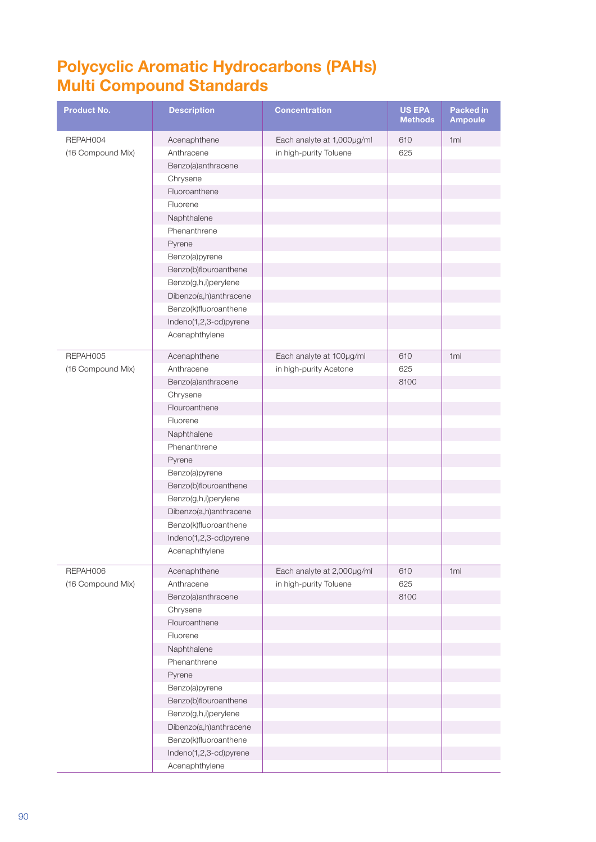#### **Polycyclic Aromatic Hydrocarbons (PAHs) Multi Compound Standards**

| <b>Product No.</b> | <b>Description</b>     | <b>Concentration</b>       | <b>US EPA</b><br><b>Methods</b> | Packed in<br><b>Ampoule</b> |
|--------------------|------------------------|----------------------------|---------------------------------|-----------------------------|
| REPAH004           | Acenaphthene           | Each analyte at 1,000µg/ml | 610                             | 1ml                         |
| (16 Compound Mix)  | Anthracene             | in high-purity Toluene     | 625                             |                             |
|                    | Benzo(a)anthracene     |                            |                                 |                             |
|                    | Chrysene               |                            |                                 |                             |
|                    | Fluoroanthene          |                            |                                 |                             |
|                    | Fluorene               |                            |                                 |                             |
|                    | Naphthalene            |                            |                                 |                             |
|                    | Phenanthrene           |                            |                                 |                             |
|                    | Pyrene                 |                            |                                 |                             |
|                    | Benzo(a)pyrene         |                            |                                 |                             |
|                    | Benzo(b)flouroanthene  |                            |                                 |                             |
|                    | Benzo(g,h,i)perylene   |                            |                                 |                             |
|                    | Dibenzo(a,h)anthracene |                            |                                 |                             |
|                    | Benzo(k)fluoroanthene  |                            |                                 |                             |
|                    | Indeno(1,2,3-cd)pyrene |                            |                                 |                             |
|                    | Acenaphthylene         |                            |                                 |                             |
| REPAH005           | Acenaphthene           | Each analyte at 100µg/ml   | 610                             | 1ml                         |
| (16 Compound Mix)  | Anthracene             | in high-purity Acetone     | 625                             |                             |
|                    | Benzo(a)anthracene     |                            | 8100                            |                             |
|                    | Chrysene               |                            |                                 |                             |
|                    | Flouroanthene          |                            |                                 |                             |
|                    | Fluorene               |                            |                                 |                             |
|                    | Naphthalene            |                            |                                 |                             |
|                    | Phenanthrene           |                            |                                 |                             |
|                    | Pyrene                 |                            |                                 |                             |
|                    | Benzo(a)pyrene         |                            |                                 |                             |
|                    | Benzo(b)flouroanthene  |                            |                                 |                             |
|                    | Benzo(g,h,i)perylene   |                            |                                 |                             |
|                    | Dibenzo(a,h)anthracene |                            |                                 |                             |
|                    | Benzo(k)fluoroanthene  |                            |                                 |                             |
|                    | Indeno(1,2,3-cd)pyrene |                            |                                 |                             |
|                    | Acenaphthylene         |                            |                                 |                             |
| REPAH006           | Acenaphthene           | Each analyte at 2,000µg/ml | 610                             | 1ml                         |
| (16 Compound Mix)  | Anthracene             | in high-purity Toluene     | 625                             |                             |
|                    | Benzo(a)anthracene     |                            | 8100                            |                             |
|                    | Chrysene               |                            |                                 |                             |
|                    | Flouroanthene          |                            |                                 |                             |
|                    | Fluorene               |                            |                                 |                             |
|                    | Naphthalene            |                            |                                 |                             |
|                    | Phenanthrene           |                            |                                 |                             |
|                    | Pyrene                 |                            |                                 |                             |
|                    | Benzo(a)pyrene         |                            |                                 |                             |
|                    | Benzo(b)flouroanthene  |                            |                                 |                             |
|                    | Benzo(g,h,i)perylene   |                            |                                 |                             |
|                    | Dibenzo(a,h)anthracene |                            |                                 |                             |
|                    | Benzo(k)fluoroanthene  |                            |                                 |                             |
|                    | Indeno(1,2,3-cd)pyrene |                            |                                 |                             |
|                    | Acenaphthylene         |                            |                                 |                             |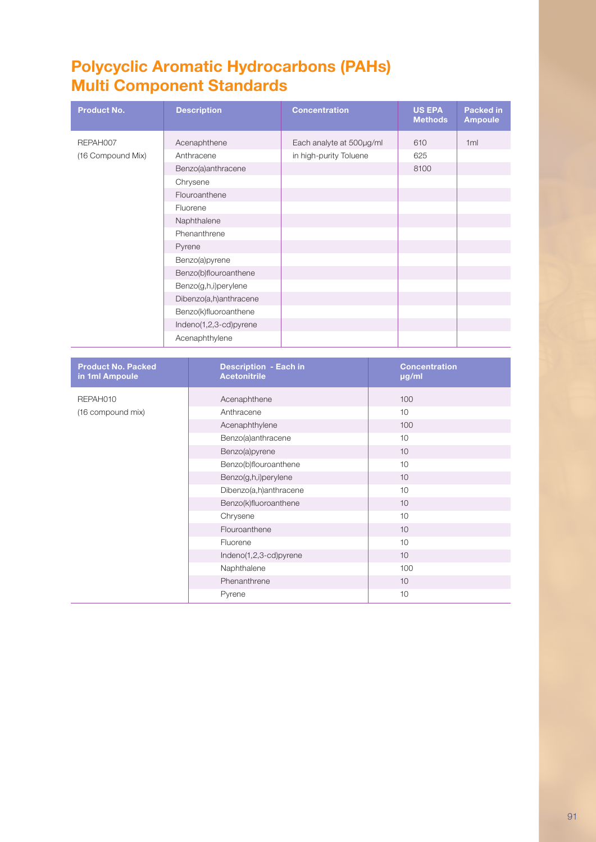## **Polycyclic Aromatic Hydrocarbons (PAHs) Multi Component Standards**

| <b>Product No.</b> | <b>Description</b>     | <b>Concentration</b>     | <b>US EPA</b><br><b>Methods</b> | Packed in<br><b>Ampoule</b> |
|--------------------|------------------------|--------------------------|---------------------------------|-----------------------------|
| REPAH007           | Acenaphthene           | Each analyte at 500µg/ml | 610                             | 1ml                         |
| (16 Compound Mix)  | Anthracene             | in high-purity Toluene   | 625                             |                             |
|                    | Benzo(a)anthracene     |                          | 8100                            |                             |
|                    | Chrysene               |                          |                                 |                             |
|                    | Flouroanthene          |                          |                                 |                             |
|                    | Fluorene               |                          |                                 |                             |
|                    | Naphthalene            |                          |                                 |                             |
|                    | Phenanthrene           |                          |                                 |                             |
|                    | Pyrene                 |                          |                                 |                             |
|                    | Benzo(a)pyrene         |                          |                                 |                             |
|                    | Benzo(b)flouroanthene  |                          |                                 |                             |
|                    | Benzo(g,h,i)perylene   |                          |                                 |                             |
|                    | Dibenzo(a,h)anthracene |                          |                                 |                             |
|                    | Benzo(k)fluoroanthene  |                          |                                 |                             |
|                    | Indeno(1,2,3-cd)pyrene |                          |                                 |                             |
|                    | Acenaphthylene         |                          |                                 |                             |

| <b>Product No. Packed</b><br>in 1ml Ampoule | <b>Description - Each in</b><br><b>Acetonitrile</b> | <b>Concentration</b><br>µg/ml |
|---------------------------------------------|-----------------------------------------------------|-------------------------------|
| REPAH010                                    | Acenaphthene                                        | 100                           |
| (16 compound mix)                           | Anthracene                                          | 10                            |
|                                             | Acenaphthylene                                      | 100                           |
|                                             | Benzo(a)anthracene                                  | 10                            |
|                                             | Benzo(a)pyrene                                      | 10                            |
|                                             | Benzo(b)flouroanthene                               | 10                            |
|                                             | Benzo(g,h,i)perylene                                | 10                            |
|                                             | Dibenzo(a,h)anthracene                              | 10                            |
|                                             | Benzo(k)fluoroanthene                               | 10                            |
|                                             | Chrysene                                            | 10                            |
|                                             | Flouroanthene                                       | 10                            |
|                                             | Fluorene                                            | 10                            |
|                                             | Indeno(1,2,3-cd)pyrene                              | 10                            |
|                                             | Naphthalene                                         | 100                           |
|                                             | Phenanthrene                                        | 10                            |
|                                             | Pyrene                                              | 10                            |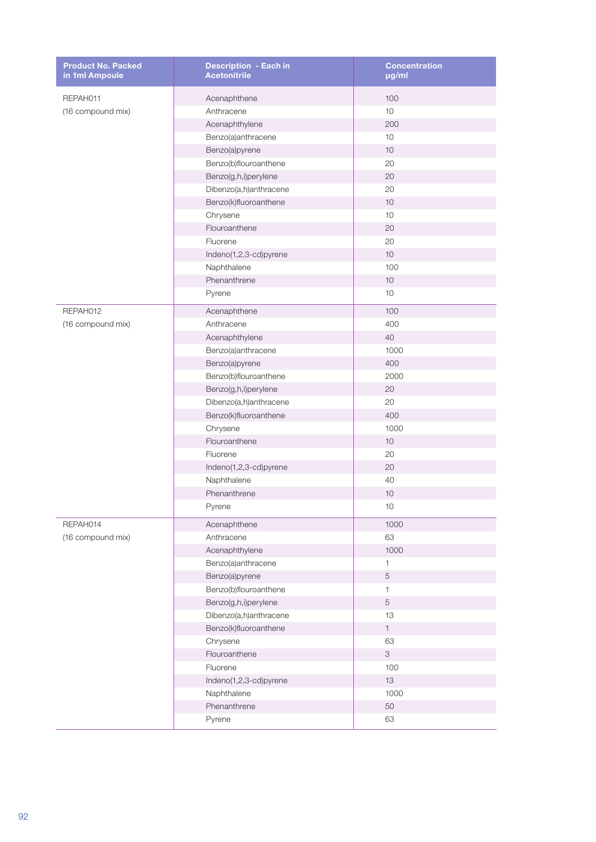| <b>Product No. Packed</b><br>in 1ml Ampoule | <b>Description - Each in</b><br><b>Acetonitrile</b> | <b>Concentration</b><br>µg/ml |
|---------------------------------------------|-----------------------------------------------------|-------------------------------|
| REPAH011                                    | Acenaphthene                                        | 100                           |
| (16 compound mix)                           | Anthracene                                          | 10                            |
|                                             | Acenaphthylene                                      | 200                           |
|                                             | Benzo(a)anthracene                                  | 10                            |
|                                             | Benzo(a)pyrene                                      | 10                            |
|                                             | Benzo(b)flouroanthene                               | 20                            |
|                                             | Benzo(g,h,i)perylene                                | 20                            |
|                                             | Dibenzo(a,h)anthracene                              | 20                            |
|                                             | Benzo(k)fluoroanthene                               | 10                            |
|                                             | Chrysene                                            | 10                            |
|                                             | Flouroanthene                                       | 20                            |
|                                             | Fluorene                                            | 20                            |
|                                             | Indeno(1,2,3-cd)pyrene                              | 10                            |
|                                             | Naphthalene                                         | 100                           |
|                                             | Phenanthrene                                        | 10                            |
|                                             | Pyrene                                              | 10                            |
| REPAH012                                    | Acenaphthene                                        | 100                           |
| (16 compound mix)                           | Anthracene                                          | 400                           |
|                                             | Acenaphthylene                                      | 40                            |
|                                             | Benzo(a)anthracene                                  | 1000                          |
|                                             | Benzo(a)pyrene                                      | 400                           |
|                                             | Benzo(b)flouroanthene                               | 2000                          |
|                                             | Benzo(g,h,i)perylene                                | 20                            |
|                                             | Dibenzo(a,h)anthracene                              | 20                            |
|                                             | Benzo(k)fluoroanthene                               | 400                           |
|                                             | Chrysene                                            | 1000                          |
|                                             | Flouroanthene                                       | 10                            |
|                                             | Fluorene                                            | 20                            |
|                                             | Indeno(1,2,3-cd)pyrene                              | 20                            |
|                                             | Naphthalene                                         | 40                            |
|                                             | Phenanthrene                                        | 10                            |
|                                             | Pyrene                                              | 10                            |
| REPAH014                                    | Acenaphthene                                        | 1000                          |
| (16 compound mix)                           | Anthracene                                          | 63                            |
|                                             | Acenaphthylene                                      | 1000                          |
|                                             | Benzo(a)anthracene                                  | 1                             |
|                                             | Benzo(a)pyrene                                      | $\mathbf 5$                   |
|                                             | Benzo(b)flouroanthene                               | $\mathbf{1}$                  |
|                                             | Benzo(g,h,i)perylene                                | $\,$ 5 $\,$                   |
|                                             | Dibenzo(a,h)anthracene                              | 13                            |
|                                             | Benzo(k)fluoroanthene                               | $\mathbf 1$                   |
|                                             | Chrysene                                            | 63                            |
|                                             | Flouroanthene                                       | $\,3$                         |
|                                             | Fluorene                                            | 100                           |
|                                             | Indeno(1,2,3-cd)pyrene                              | $13$                          |
|                                             | Naphthalene                                         | 1000                          |
|                                             | Phenanthrene                                        | 50                            |
|                                             |                                                     |                               |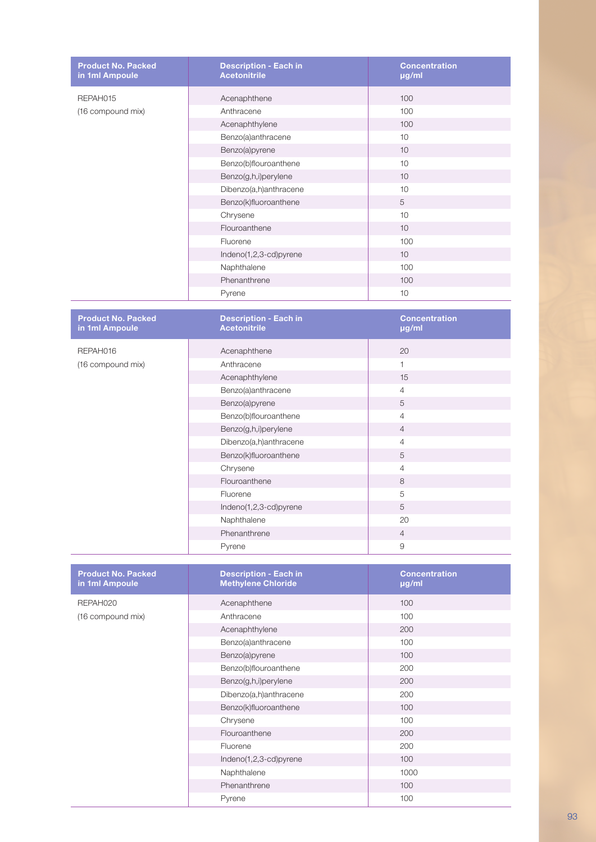| <b>Product No. Packed</b><br>in 1ml Ampoule | <b>Description - Each in</b><br><b>Acetonitrile</b> | <b>Concentration</b><br>µg/ml                 |
|---------------------------------------------|-----------------------------------------------------|-----------------------------------------------|
| REPAH015                                    | Acenaphthene                                        | 100                                           |
| (16 compound mix)                           | Anthracene                                          | 100                                           |
|                                             | Acenaphthylene                                      | 100                                           |
|                                             | Benzo(a)anthracene                                  | 10                                            |
|                                             | Benzo(a)pyrene                                      | 10                                            |
|                                             | Benzo(b)flouroanthene                               | 10                                            |
|                                             | Benzo(g,h,i)perylene                                | 10                                            |
|                                             | Dibenzo(a,h)anthracene                              | 10                                            |
|                                             | Benzo(k)fluoroanthene                               | 5                                             |
|                                             | Chrysene                                            | 10                                            |
|                                             | Flouroanthene                                       | 10                                            |
|                                             | Fluorene                                            | 100                                           |
|                                             | Indeno(1,2,3-cd)pyrene                              | 10                                            |
|                                             | Naphthalene                                         | 100                                           |
|                                             | Phenanthrene                                        | 100                                           |
|                                             | Pyrene                                              | 10                                            |
|                                             |                                                     |                                               |
| <b>Product No. Packed</b><br>in 1ml Ampoule | <b>Description - Each in</b><br><b>Acetonitrile</b> | <b>Concentration</b><br>$\overline{\mu}$ g/ml |
| REPAH016                                    | Acenaphthene                                        | 20                                            |

| REPAH016          | Acenaphthene           | 20             |  |
|-------------------|------------------------|----------------|--|
| (16 compound mix) | Anthracene             | $\overline{1}$ |  |
|                   | Acenaphthylene         | 15             |  |
|                   | Benzo(a)anthracene     | $\overline{4}$ |  |
|                   | Benzo(a)pyrene         | 5              |  |
|                   | Benzo(b)flouroanthene  | $\overline{4}$ |  |
|                   | Benzo(g,h,i)perylene   | $\overline{4}$ |  |
|                   | Dibenzo(a,h)anthracene | $\overline{4}$ |  |
|                   | Benzo(k)fluoroanthene  | 5              |  |
|                   | Chrysene               | 4              |  |
|                   | Flouroanthene          | 8              |  |
|                   | Fluorene               | 5              |  |
|                   | Indeno(1,2,3-cd)pyrene | 5              |  |
|                   | Naphthalene            | 20             |  |
|                   | Phenanthrene           | $\overline{4}$ |  |
|                   | Pyrene                 | 9              |  |

| <b>Product No. Packed</b><br>in 1ml Ampoule | <b>Description - Each in</b><br><b>Methylene Chloride</b> | <b>Concentration</b><br>µg/ml |
|---------------------------------------------|-----------------------------------------------------------|-------------------------------|
| REPAH020                                    | Acenaphthene                                              | 100                           |
| (16 compound mix)                           | Anthracene                                                | 100                           |
|                                             | Acenaphthylene                                            | 200                           |
|                                             | Benzo(a)anthracene                                        | 100                           |
|                                             | Benzo(a)pyrene                                            | 100                           |
|                                             | Benzo(b)flouroanthene                                     | 200                           |
|                                             | Benzo(g,h,i)perylene                                      | 200                           |
|                                             | Dibenzo(a,h)anthracene                                    | 200                           |
|                                             | Benzo(k)fluoroanthene                                     | 100                           |
|                                             | Chrysene                                                  | 100                           |
|                                             | Flouroanthene                                             | 200                           |
|                                             | Fluorene                                                  | 200                           |
|                                             | Indeno(1,2,3-cd)pyrene                                    | 100                           |
|                                             | Naphthalene                                               | 1000                          |
|                                             | Phenanthrene                                              | 100                           |
|                                             | Pyrene                                                    | 100                           |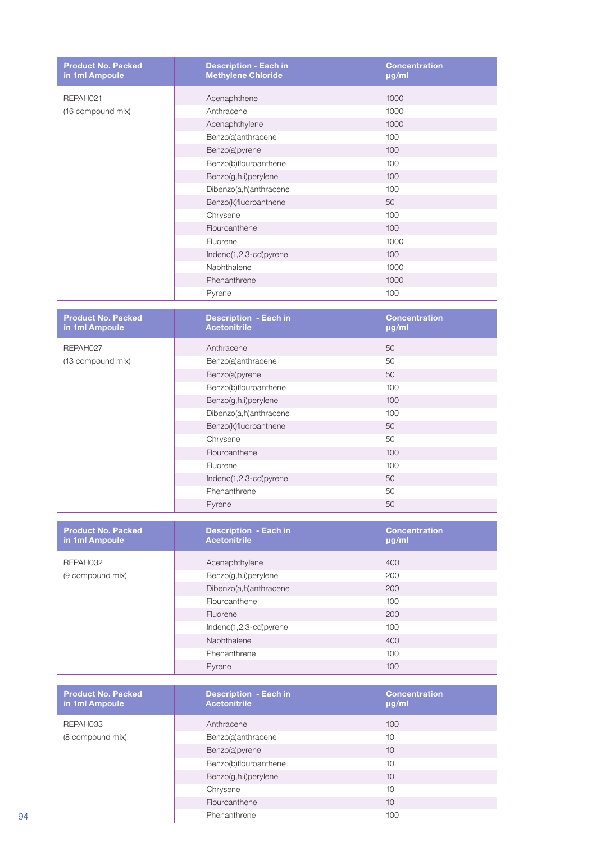| <b>Product No. Packed</b><br>in 1ml Ampoule | <b>Description - Each in</b><br><b>Methylene Chloride</b> | <b>Concentration</b><br>µg/ml |
|---------------------------------------------|-----------------------------------------------------------|-------------------------------|
| REPAH021                                    | Acenaphthene                                              | 1000                          |
| (16 compound mix)                           | Anthracene                                                | 1000                          |
|                                             | Acenaphthylene                                            | 1000                          |
|                                             | Benzo(a)anthracene                                        | 100                           |
|                                             | Benzo(a)pyrene                                            | 100                           |
|                                             | Benzo(b)flouroanthene                                     | 100                           |
|                                             | Benzo(g,h,i)perylene                                      | 100                           |
|                                             | Dibenzo(a,h)anthracene                                    | 100                           |
|                                             | Benzo(k)fluoroanthene                                     | 50                            |
|                                             | Chrysene                                                  | 100                           |
|                                             | Flouroanthene                                             | 100                           |
|                                             | Fluorene                                                  | 1000                          |
|                                             | Indeno(1,2,3-cd)pyrene                                    | 100                           |
|                                             | Naphthalene                                               | 1000                          |
|                                             | Phenanthrene                                              | 1000                          |
|                                             | Pyrene                                                    | 100                           |
|                                             |                                                           |                               |
| <b>Product No. Packed</b><br>in 1ml Ampoule | <b>Description - Each in</b><br><b>Acetonitrile</b>       | <b>Concentration</b><br>µg/ml |
| REPAH027                                    | Anthracene                                                | 50                            |
| (13 compound mix)                           | Benzo(a)anthracene                                        | 50                            |
|                                             | Benzo(a)pyrene                                            | 50                            |
|                                             | Benzo(b)flouroanthene                                     | 100                           |
|                                             | Benzo(g,h,i)perylene                                      | 100                           |
|                                             | Dibenzo(a,h)anthracene                                    | 100                           |
|                                             | Benzo(k)fluoroanthene                                     | 50                            |
|                                             | Chrysene                                                  | 50                            |
|                                             | Flouroanthene                                             | 100                           |
|                                             | Fluorene                                                  | 100                           |
|                                             | Indeno(1,2,3-cd)pyrene                                    | 50                            |
|                                             | Phenanthrene                                              | 50                            |
|                                             | Pyrene                                                    | 50                            |
|                                             |                                                           |                               |
| <b>Product No. Packed</b><br>in 1ml Ampoule | <b>Description - Each in</b><br><b>Acetonitrile</b>       | <b>Concentration</b><br>µg/ml |
| REPAH032                                    | Acenaphthylene                                            | 400                           |
| (9 compound mix)                            | Benzo(g,h,i)perylene                                      | 200                           |
|                                             | Dibenzo(a,h)anthracene                                    | 200                           |
|                                             | Flouroanthene                                             | 100                           |
|                                             | Fluorene                                                  | 200                           |
|                                             | Indeno(1,2,3-cd)pyrene                                    | 100                           |
|                                             | Naphthalene                                               | 400                           |
|                                             | Phenanthrene                                              | 100                           |
|                                             | Pyrene                                                    | 100                           |
|                                             |                                                           |                               |
| <b>Product No. Packed</b><br>in 1ml Ampoule | <b>Description - Each in</b><br><b>Acetonitrile</b>       | <b>Concentration</b><br>µg/ml |
| REPAH033                                    | Anthracene                                                | 100                           |
| (8 compound mix)                            | Benzo(a)anthracene                                        | 10                            |
|                                             | Benzo(a)pyrene                                            | 10                            |
|                                             | Benzo(b)flouroanthene                                     | 10                            |
|                                             | Benzo(g,h,i)perylene                                      | 10                            |
|                                             | Chrysene                                                  | 10                            |
|                                             | Flouroanthene                                             | $10$                          |
|                                             | Phenanthrene                                              | 100                           |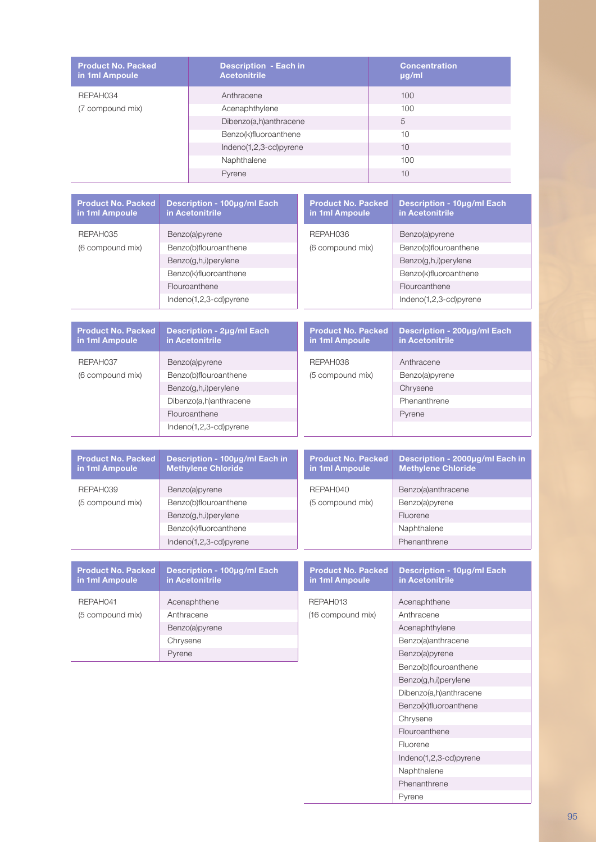| <b>Product No. Packed</b><br>in 1ml Ampoule | <b>Description - Each in</b><br><b>Acetonitrile</b> | <b>Concentration</b><br>$\mu$ g/ml |
|---------------------------------------------|-----------------------------------------------------|------------------------------------|
| REPAH034                                    | Anthracene                                          | 100                                |
| (7 compound mix)                            | Acenaphthylene                                      | 100                                |
|                                             | Dibenzo(a,h)anthracene                              | 5                                  |
|                                             | Benzo(k)fluoroanthene                               | 10                                 |
|                                             | $Indeno(1,2,3-cd)pyrene$                            | 10                                 |
|                                             | Naphthalene                                         | 100                                |
|                                             | Pyrene                                              | 10                                 |

| <b>Product No. Packed</b><br>in 1ml Ampoule | Description - 100µg/ml Each<br>in Acetonitrile | <b>Product No. Packed</b><br>in 1ml Ampoule | <b>Description - 10µg/ml Each</b><br>in Acetonitrile |
|---------------------------------------------|------------------------------------------------|---------------------------------------------|------------------------------------------------------|
| REPAH035                                    | Benzo(a)pyrene                                 | REPAH036                                    | Benzo(a)pyrene                                       |
| (6 compound mix)                            | Benzo(b)flouroanthene                          | (6 compound mix)                            | Benzo(b)flouroanthene                                |
|                                             | Benzo(g,h,i)perylene                           |                                             | Benzo(g,h,i)perylene                                 |
|                                             | Benzo(k)fluoroanthene                          |                                             | Benzo(k)fluoroanthene                                |
|                                             | Flouroanthene                                  |                                             | Flouroanthene                                        |
|                                             | $Indeno(1,2,3-cd)pyrene$                       |                                             | Indeno $(1,2,3$ -cd)pyrene                           |

| <b>Product No. Packed</b><br>in 1ml Ampoule | Description - 2µg/ml Each<br>in Acetonitrile | <b>Product No. Packed</b><br>in 1ml Ampoule | Description - 200µg/ml Each<br>in Acetonitrile |
|---------------------------------------------|----------------------------------------------|---------------------------------------------|------------------------------------------------|
| REPAH037                                    | Benzo(a)pyrene                               | REPAH038                                    | Anthracene                                     |
| (6 compound mix)                            | Benzo(b)flouroanthene                        | (5 compound mix)                            | Benzo(a)pyrene                                 |
|                                             | Benzo(g,h,i)perylene                         |                                             | Chrysene                                       |
|                                             | Dibenzo(a,h)anthracene                       |                                             | Phenanthrene                                   |
|                                             | Flouroanthene                                |                                             | Pyrene                                         |
|                                             | $Indeno(1,2,3-cd)pyrene$                     |                                             |                                                |

| <b>Product No. Packed</b><br>in 1ml Ampoule | Description - 100µg/ml Each in<br><b>Methylene Chloride</b> | <b>Product No. Packed</b><br>in 1ml Ampoule | Description - 2000µg/ml Each in<br><b>Methylene Chloride</b> |
|---------------------------------------------|-------------------------------------------------------------|---------------------------------------------|--------------------------------------------------------------|
| REPAH039                                    | Benzo(a)pyrene                                              | REPAH040                                    | Benzo(a)anthracene                                           |
| (5 compound mix)                            | Benzo(b)flouroanthene                                       | (5 compound mix)                            | Benzo(a)pyrene                                               |
|                                             | Benzo(g,h,i)perylene                                        |                                             | Fluorene                                                     |
|                                             | Benzo(k)fluoroanthene                                       |                                             | Naphthalene                                                  |
|                                             | Indeno(1,2,3-cd)pyrene                                      |                                             | Phenanthrene                                                 |

| <b>Product No. Packed</b><br>in 1ml Ampoule | Description - 100µg/ml Each<br>in Acetonitrile | <b>Product No. Packed</b><br>in 1ml Ampoule | Description -<br>in Acetonitril |
|---------------------------------------------|------------------------------------------------|---------------------------------------------|---------------------------------|
| REPAH041                                    | Acenaphthene                                   | REPAH013                                    | Acenaphthene                    |
| (5 compound mix)                            | Anthracene                                     | (16 compound mix)                           | Anthracene                      |
|                                             | Benzo(a)pyrene                                 |                                             | Acenaphthyler                   |
|                                             | Chrysene                                       |                                             | Benzo(a)anthra                  |
|                                             | Pyrene                                         |                                             | Benzo(a)pyren                   |

| <b>Product No. Packed</b><br>in 1ml Ampoule | Description - 10µg/ml Each<br>in Acetonitrile |
|---------------------------------------------|-----------------------------------------------|
| REPAH013                                    | Acenaphthene                                  |
| (16 compound mix)                           | Anthracene                                    |
|                                             | Acenaphthylene                                |
|                                             | Benzo(a)anthracene                            |
| Pyrene                                      |                                               |
|                                             | Benzo(b)flouroanthene                         |
|                                             | Benzo(g,h,i)perylene                          |
|                                             | Dibenzo(a,h)anthracene                        |
|                                             | Benzo(k)fluoroanthene                         |
|                                             | Chrysene                                      |
|                                             | Flouroanthene                                 |
|                                             | Fluorene                                      |
|                                             | Indeno(1,2,3-cd)pyrene                        |
|                                             | Naphthalene                                   |
|                                             | Phenanthrene                                  |
|                                             | Pyrene                                        |
|                                             |                                               |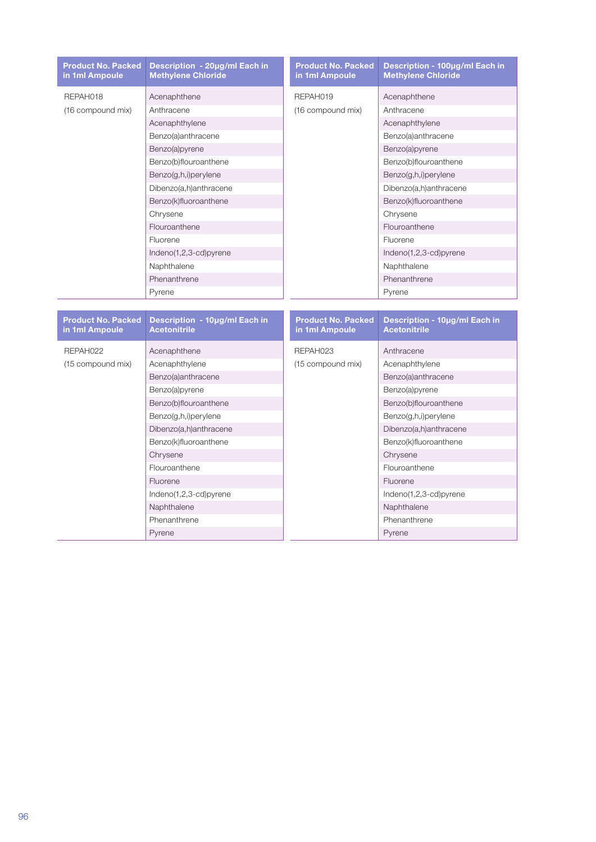| <b>Product No. Packed</b><br>in 1ml Ampoule                                         | Description - 20µg/ml Each in<br><b>Methylene Chloride</b> | <b>Product No. Packed</b><br>in 1ml Ampoule | Description - 100µg/ml Each in<br><b>Methylene Chloride</b> |
|-------------------------------------------------------------------------------------|------------------------------------------------------------|---------------------------------------------|-------------------------------------------------------------|
| REPAH018                                                                            | Acenaphthene                                               | REPAH019                                    | Acenaphthene                                                |
| (16 compound mix)                                                                   | Anthracene                                                 | (16 compound mix)                           | Anthracene                                                  |
|                                                                                     | Acenaphthylene                                             |                                             | Acenaphthylene                                              |
|                                                                                     | Benzo(a)anthracene                                         | Benzo(a)anthracene                          |                                                             |
|                                                                                     | Benzo(a)pyrene                                             |                                             | Benzo(a)pyrene                                              |
|                                                                                     | Benzo(b)flouroanthene                                      |                                             | Benzo(b)flouroanthene                                       |
| Benzo(g,h,i)perylene<br>Dibenzo(a,h)anthracene<br>Benzo(k)fluoroanthene<br>Chrysene |                                                            |                                             | Benzo(g,h,i)perylene                                        |
|                                                                                     |                                                            |                                             | Dibenzo(a,h)anthracene                                      |
|                                                                                     |                                                            | Benzo(k)fluoroanthene                       |                                                             |
|                                                                                     |                                                            |                                             | Chrysene                                                    |
|                                                                                     | Flouroanthene                                              |                                             | Flouroanthene                                               |
|                                                                                     | Fluorene                                                   |                                             | Fluorene                                                    |
|                                                                                     | Indeno(1,2,3-cd)pyrene                                     |                                             | Indeno(1,2,3-cd)pyrene                                      |
|                                                                                     | Naphthalene                                                |                                             | Naphthalene                                                 |
|                                                                                     | Phenanthrene                                               |                                             | Phenanthrene                                                |
|                                                                                     | Pyrene                                                     |                                             | Pyrene                                                      |

| <b>Product No. Packed</b><br>in 1ml Ampoule | Description - 10µg/ml Each in<br><b>Acetonitrile</b> | <b>Product No. Packed</b><br>in 1ml Ampoule | Description - 10µg/ml Each in<br><b>Acetonitrile</b> |                       |
|---------------------------------------------|------------------------------------------------------|---------------------------------------------|------------------------------------------------------|-----------------------|
| REPAH022                                    | Acenaphthene                                         | REPAH023                                    | Anthracene                                           |                       |
| (15 compound mix)                           | Acenaphthylene                                       | (15 compound mix)                           | Acenaphthylene                                       |                       |
|                                             | Benzo(a)anthracene                                   |                                             | Benzo(a)anthracene                                   |                       |
|                                             | Benzo(a)pyrene                                       |                                             | Benzo(a)pyrene                                       |                       |
|                                             | Benzo(b)flouroanthene                                |                                             | Benzo(b)flouroanthene                                |                       |
|                                             | Benzo(g,h,i)perylene                                 |                                             | Benzo(g,h,i)perylene                                 |                       |
|                                             | Dibenzo(a,h)anthracene                               |                                             | Dibenzo(a,h)anthracene                               |                       |
|                                             | Benzo(k)fluoroanthene                                |                                             |                                                      | Benzo(k)fluoroanthene |
|                                             | Chrysene                                             |                                             | Chrysene                                             |                       |
|                                             | Flouroanthene                                        |                                             | Flouroanthene                                        |                       |
|                                             | Fluorene                                             |                                             | Fluorene                                             |                       |
|                                             | $Indeno(1,2,3-cd)pyrene$                             |                                             | Indeno(1,2,3-cd)pyrene                               |                       |
|                                             | Naphthalene                                          |                                             | Naphthalene                                          |                       |
|                                             | Phenanthrene                                         |                                             | Phenanthrene                                         |                       |
|                                             | Pyrene                                               |                                             | Pyrene                                               |                       |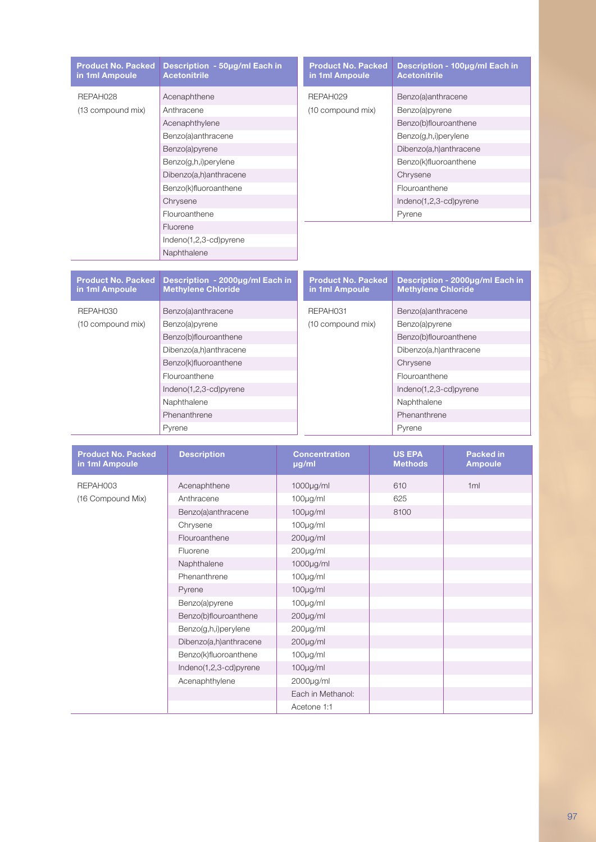| <b>Product No. Packed</b><br>in 1ml Ampoule | Description - 50µg/ml Each in<br><b>Acetonitrile</b> | <b>Product No. Packed</b><br>in 1ml Ampoule | Description - 100µg/ml Each in<br><b>Acetonitrile</b> |
|---------------------------------------------|------------------------------------------------------|---------------------------------------------|-------------------------------------------------------|
| REPAH028                                    | Acenaphthene                                         | REPAH029                                    | Benzo(a)anthracene                                    |
| (13 compound mix)                           | Anthracene                                           | (10 compound mix)                           | Benzo(a)pyrene                                        |
|                                             | Acenaphthylene                                       |                                             | Benzo(b)flouroanthene                                 |
|                                             | Benzo(a)anthracene                                   |                                             | Benzo(g,h,i)perylene                                  |
|                                             | Benzo(a)pyrene                                       |                                             | Dibenzo(a,h)anthracene                                |
|                                             | Benzo(g,h,i)perylene                                 |                                             | Benzo(k)fluoroanthene                                 |
|                                             | Dibenzo(a,h)anthracene                               |                                             | Chrysene                                              |
|                                             | Benzo(k)fluoroanthene                                |                                             | Flouroanthene                                         |
|                                             | Chrysene                                             |                                             | Indeno(1,2,3-cd)pyrene                                |
|                                             | Flouroanthene                                        |                                             | Pyrene                                                |
|                                             | Fluorene                                             |                                             |                                                       |
|                                             | $Indeno(1,2,3-cd)pyrene$                             |                                             |                                                       |
|                                             | Naphthalene                                          |                                             |                                                       |

| <b>Product No. Packed</b><br>in 1ml Ampoule | Description - 2000µg/ml Each in<br><b>Methylene Chloride</b> | <b>Product No. Packed</b><br>in 1ml Ampoule | Description - 2000µg/ml Each in<br><b>Methylene Chloride</b> |
|---------------------------------------------|--------------------------------------------------------------|---------------------------------------------|--------------------------------------------------------------|
| REPAH030                                    | Benzo(a)anthracene                                           | REPAH031                                    | Benzo(a)anthracene                                           |
| (10 compound mix)                           | Benzo(a)pyrene                                               | (10 compound mix)                           | Benzo(a)pyrene                                               |
|                                             | Benzo(b)flouroanthene                                        |                                             | Benzo(b)flouroanthene                                        |
|                                             | Dibenzo(a,h)anthracene                                       |                                             | Dibenzo(a,h)anthracene                                       |
|                                             | Benzo(k)fluoroanthene                                        |                                             | Chrysene                                                     |
|                                             | Flouroanthene                                                |                                             | Flouroanthene                                                |
|                                             | $Indeno(1,2,3-cd)pyrene$                                     |                                             | Indeno(1,2,3-cd)pyrene                                       |
|                                             | Naphthalene                                                  |                                             | Naphthalene                                                  |
|                                             | Phenanthrene                                                 |                                             | Phenanthrene                                                 |
|                                             | Pyrene                                                       |                                             | Pyrene                                                       |

| <b>Product No. Packed</b><br>in 1ml Ampoule | <b>Description</b>     | <b>Concentration</b><br>µg/ml | <b>US EPA</b><br><b>Methods</b> | <b>Packed in</b><br><b>Ampoule</b> |
|---------------------------------------------|------------------------|-------------------------------|---------------------------------|------------------------------------|
| REPAH003                                    | Acenaphthene           | $1000\mu g/ml$                | 610                             | 1ml                                |
| (16 Compound Mix)                           | Anthracene             | $100\mu g/ml$                 | 625                             |                                    |
|                                             | Benzo(a)anthracene     | $100\mu g/ml$                 | 8100                            |                                    |
|                                             | Chrysene               | 100µg/ml                      |                                 |                                    |
|                                             | Flouroanthene          | 200µg/ml                      |                                 |                                    |
|                                             | Fluorene               | $200 \mu g/ml$                |                                 |                                    |
|                                             | Naphthalene            | 1000µg/ml                     |                                 |                                    |
|                                             | Phenanthrene           | $100\mu g/ml$                 |                                 |                                    |
|                                             | Pyrene                 | 100µg/ml                      |                                 |                                    |
|                                             | Benzo(a)pyrene         | 100µg/ml                      |                                 |                                    |
|                                             | Benzo(b)flouroanthene  | $200 \mu g/ml$                |                                 |                                    |
|                                             | Benzo(g,h,i)perylene   | $200 \mu g/ml$                |                                 |                                    |
|                                             | Dibenzo(a,h)anthracene | 200µg/ml                      |                                 |                                    |
|                                             | Benzo(k)fluoroanthene  | 100µg/ml                      |                                 |                                    |
|                                             | Indeno(1,2,3-cd)pyrene | 100µg/ml                      |                                 |                                    |
|                                             | Acenaphthylene         | 2000µg/ml                     |                                 |                                    |
|                                             |                        | Each in Methanol:             |                                 |                                    |
|                                             |                        | Acetone 1:1                   |                                 |                                    |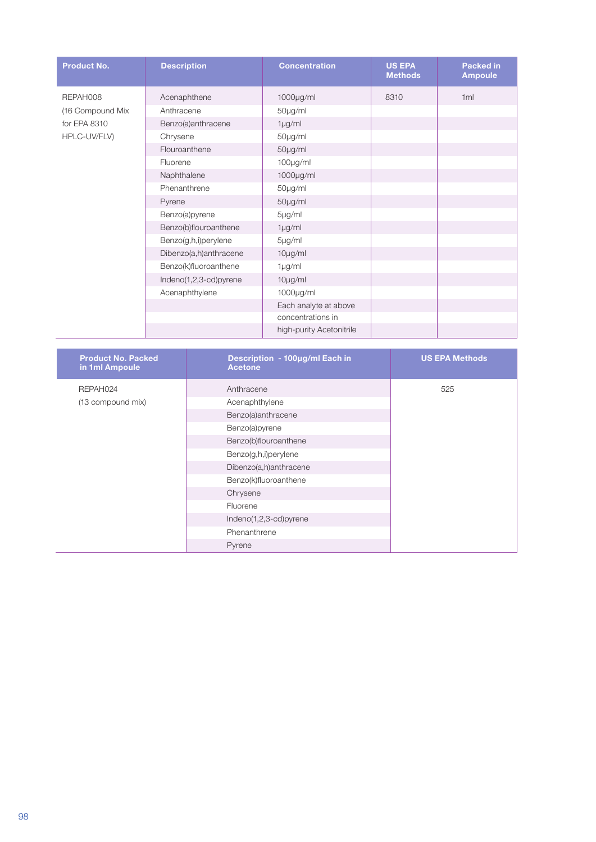| <b>Product No.</b> | <b>Description</b>     | <b>Concentration</b>     | <b>US EPA</b><br><b>Methods</b> | <b>Packed in</b><br>Ampoule |
|--------------------|------------------------|--------------------------|---------------------------------|-----------------------------|
| REPAH008           | Acenaphthene           | $1000$ µg/ml             | 8310                            | 1m                          |
| (16 Compound Mix   | Anthracene             | 50µg/ml                  |                                 |                             |
| for EPA 8310       | Benzo(a)anthracene     | $1\mu g/ml$              |                                 |                             |
| HPLC-UV/FLV)       | Chrysene               | 50µg/ml                  |                                 |                             |
|                    | Flouroanthene          | 50µg/ml                  |                                 |                             |
|                    | Fluorene               | $100\mu g/ml$            |                                 |                             |
|                    | Naphthalene            | $1000\mu g/ml$           |                                 |                             |
|                    | Phenanthrene           | 50µg/ml                  |                                 |                             |
|                    | Pyrene                 | 50µg/ml                  |                                 |                             |
|                    | Benzo(a)pyrene         | 5µg/ml                   |                                 |                             |
|                    | Benzo(b)flouroanthene  | $1 \mu g/ml$             |                                 |                             |
|                    | Benzo(g,h,i)perylene   | 5µg/ml                   |                                 |                             |
|                    | Dibenzo(a,h)anthracene | $10\mu g/ml$             |                                 |                             |
|                    | Benzo(k)fluoroanthene  | $1\mu g/ml$              |                                 |                             |
|                    | Indeno(1,2,3-cd)pyrene | $10\mu g/ml$             |                                 |                             |
|                    | Acenaphthylene         | 1000µg/ml                |                                 |                             |
|                    |                        | Each analyte at above    |                                 |                             |
|                    |                        | concentrations in        |                                 |                             |
|                    |                        | high-purity Acetonitrile |                                 |                             |

| <b>Product No. Packed</b><br>in 1ml Ampoule | Description - 100µg/ml Each in<br><b>Acetone</b> | <b>US EPA Methods</b> |
|---------------------------------------------|--------------------------------------------------|-----------------------|
| REPAH024                                    | Anthracene                                       | 525                   |
| (13 compound mix)                           | Acenaphthylene                                   |                       |
|                                             | Benzo(a)anthracene                               |                       |
|                                             | Benzo(a)pyrene                                   |                       |
|                                             | Benzo(b)flouroanthene                            |                       |
|                                             | Benzo(g,h,i)perylene                             |                       |
|                                             | Dibenzo(a,h)anthracene                           |                       |
|                                             | Benzo(k)fluoroanthene                            |                       |
|                                             | Chrysene                                         |                       |
|                                             | Fluorene                                         |                       |
|                                             | Indeno(1,2,3-cd)pyrene                           |                       |
|                                             | Phenanthrene                                     |                       |
|                                             | Pyrene                                           |                       |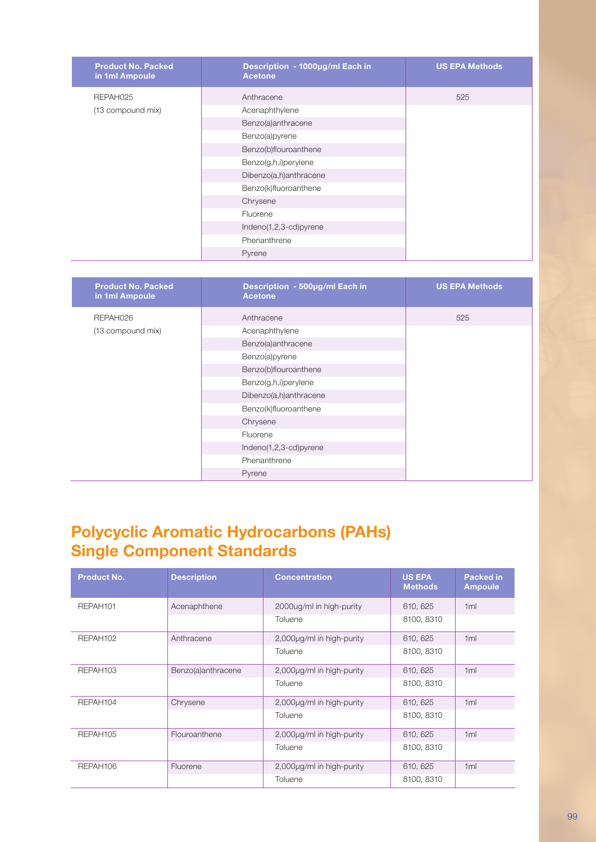| <b>Product No. Packed</b><br>in 1ml Ampoule | Description - 1000µg/ml Each in<br><b>Acetone</b> | <b>US EPA Methods</b> |
|---------------------------------------------|---------------------------------------------------|-----------------------|
| REPAH025                                    | Anthracene                                        | 525                   |
| (13 compound mix)                           | Acenaphthylene                                    |                       |
|                                             | Benzo(a)anthracene                                |                       |
|                                             | Benzo(a)pyrene                                    |                       |
|                                             | Benzo(b)flouroanthene                             |                       |
|                                             | Benzo(g,h,i)perylene                              |                       |
|                                             | Dibenzo(a,h)anthracene                            |                       |
|                                             | Benzo(k)fluoroanthene                             |                       |
|                                             | Chrysene                                          |                       |
|                                             | Fluorene                                          |                       |
|                                             | Indeno(1,2,3-cd)pyrene                            |                       |
|                                             | Phenanthrene                                      |                       |
|                                             | Pyrene                                            |                       |

| <b>Product No. Packed</b><br>in 1ml Ampoule | Description - 500µg/ml Each in<br><b>Acetone</b> | <b>US EPA Methods</b> |
|---------------------------------------------|--------------------------------------------------|-----------------------|
| REPAH026                                    | Anthracene                                       | 525                   |
| (13 compound mix)                           | Acenaphthylene                                   |                       |
|                                             | Benzo(a)anthracene                               |                       |
|                                             | Benzo(a)pyrene                                   |                       |
|                                             | Benzo(b)flouroanthene                            |                       |
|                                             | Benzo(g,h,i)perylene                             |                       |
|                                             | Dibenzo(a,h)anthracene                           |                       |
|                                             | Benzo(k)fluoroanthene                            |                       |
|                                             | Chrysene                                         |                       |
|                                             | Fluorene                                         |                       |
|                                             | Indeno(1,2,3-cd)pyrene                           |                       |
|                                             | Phenanthrene                                     |                       |
|                                             | Pyrene                                           |                       |

#### **Polycyclic Aromatic Hydrocarbons (PAHs) Single Component Standards**

| <b>Product No.</b>   | <b>Description</b> | <b>Concentration</b>      | <b>US EPA</b><br><b>Methods</b> | <b>Packed in</b><br><b>Ampoule</b> |
|----------------------|--------------------|---------------------------|---------------------------------|------------------------------------|
| REPAH <sub>101</sub> | Acenaphthene       | 2000ug/ml in high-purity  | 610, 625                        | 1ml                                |
|                      |                    | Toluene                   | 8100, 8310                      |                                    |
| REPAH102             | Anthracene         | 2,000µg/ml in high-purity | 610, 625                        | 1 <sub>m</sub>                     |
|                      |                    | Toluene                   | 8100, 8310                      |                                    |
| REPAH <sub>103</sub> | Benzo(a)anthracene | 2,000µg/ml in high-purity | 610, 625                        | 1ml                                |
|                      |                    | Toluene                   | 8100, 8310                      |                                    |
| REPAH104             | Chrysene           | 2,000µg/ml in high-purity | 610, 625                        | 1 <sub>m</sub>                     |
|                      |                    | Toluene                   | 8100, 8310                      |                                    |
| REPAH105             | Flouroanthene      | 2,000µg/ml in high-purity | 610, 625                        | 1ml                                |
|                      |                    | Toluene                   | 8100, 8310                      |                                    |
| REPAH106             | Fluorene           | 2,000µg/ml in high-purity | 610, 625                        | 1ml                                |
|                      |                    | Toluene                   | 8100, 8310                      |                                    |